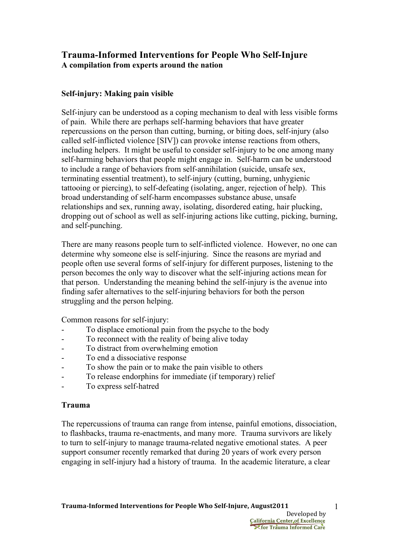# **Trauma-Informed Interventions for People Who Self-Injure A compilation from experts around the nation**

## **Self-injury: Making pain visible**

Self-injury can be understood as a coping mechanism to deal with less visible forms of pain. While there are perhaps self-harming behaviors that have greater repercussions on the person than cutting, burning, or biting does, self-injury (also called self-inflicted violence [SIV]) can provoke intense reactions from others, including helpers. It might be useful to consider self-injury to be one among many self-harming behaviors that people might engage in. Self-harm can be understood to include a range of behaviors from self-annihilation (suicide, unsafe sex, terminating essential treatment), to self-injury (cutting, burning, unhygienic tattooing or piercing), to self-defeating (isolating, anger, rejection of help). This broad understanding of self-harm encompasses substance abuse, unsafe relationships and sex, running away, isolating, disordered eating, hair plucking, dropping out of school as well as self-injuring actions like cutting, picking, burning, and self-punching.

There are many reasons people turn to self-inflicted violence. However, no one can determine why someone else is self-injuring. Since the reasons are myriad and people often use several forms of self-injury for different purposes, listening to the person becomes the only way to discover what the self-injuring actions mean for that person. Understanding the meaning behind the self-injury is the avenue into finding safer alternatives to the self-injuring behaviors for both the person struggling and the person helping.

Common reasons for self-injury:

- To displace emotional pain from the psyche to the body
- To reconnect with the reality of being alive today
- To distract from overwhelming emotion
- To end a dissociative response
- To show the pain or to make the pain visible to others
- To release endorphins for immediate (if temporary) relief
- To express self-hatred

## **Trauma**

The repercussions of trauma can range from intense, painful emotions, dissociation, to flashbacks, trauma re-enactments, and many more. Trauma survivors are likely to turn to self-injury to manage trauma-related negative emotional states. A peer support consumer recently remarked that during 20 years of work every person engaging in self-injury had a history of trauma. In the academic literature, a clear

**Stor Trauma Informed Care**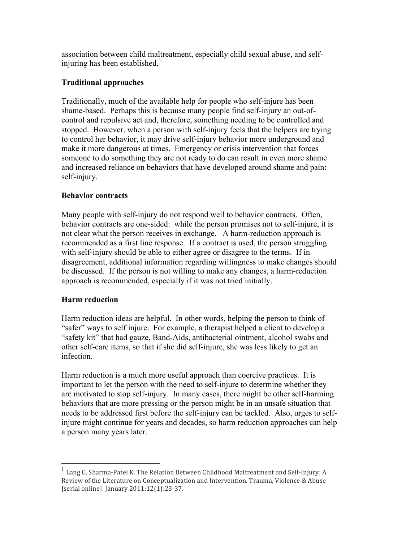association between child maltreatment, especially child sexual abuse, and selfinjuring has been established.<sup>1</sup>

## **Traditional approaches**

Traditionally, much of the available help for people who self-injure has been shame-based. Perhaps this is because many people find self-injury an out-ofcontrol and repulsive act and, therefore, something needing to be controlled and stopped. However, when a person with self-injury feels that the helpers are trying to control her behavior, it may drive self-injury behavior more underground and make it more dangerous at times. Emergency or crisis intervention that forces someone to do something they are not ready to do can result in even more shame and increased reliance on behaviors that have developed around shame and pain: self-injury.

## **Behavior contracts**

Many people with self-injury do not respond well to behavior contracts. Often, behavior contracts are one-sided: while the person promises not to self-injure, it is not clear what the person receives in exchange. A harm-reduction approach is recommended as a first line response. If a contract is used, the person struggling with self-injury should be able to either agree or disagree to the terms. If in disagreement, additional information regarding willingness to make changes should be discussed. If the person is not willing to make any changes, a harm-reduction approach is recommended, especially if it was not tried initially.

## **Harm reduction**

Harm reduction ideas are helpful. In other words, helping the person to think of "safer" ways to self injure. For example, a therapist helped a client to develop a "safety kit" that had gauze, Band-Aids, antibacterial ointment, alcohol swabs and other self-care items, so that if she did self-injure, she was less likely to get an infection.

Harm reduction is a much more useful approach than coercive practices. It is important to let the person with the need to self-injure to determine whether they are motivated to stop self-injury. In many cases, there might be other self-harming behaviors that are more pressing or the person might be in an unsafe situation that needs to be addressed first before the self-injury can be tackled. Also, urges to selfinjure might continue for years and decades, so harm reduction approaches can help a person many years later.

 $1$  Lang C, Sharma-Patel K. The Relation Between Childhood Maltreatment and Self-Injury: A Review of the Literature on Conceptualization and Intervention. Trauma, Violence & Abuse [serial online]. January 2011;12(1):23-37.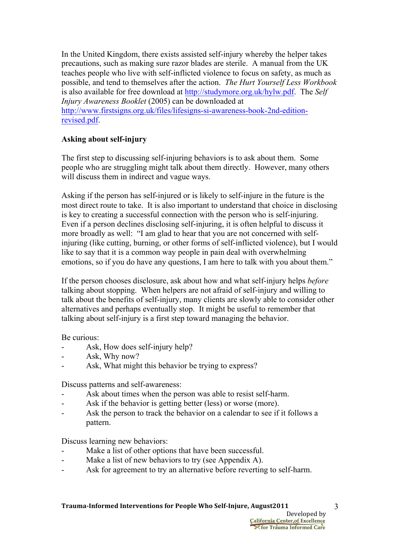In the United Kingdom, there exists assisted self-injury whereby the helper takes precautions, such as making sure razor blades are sterile. A manual from the UK teaches people who live with self-inflicted violence to focus on safety, as much as possible, and tend to themselves after the action. *The Hurt Yourself Less Workbook* is also available for free download at http://studymore.org.uk/hylw.pdf. The *Self Injury Awareness Booklet* (2005) can be downloaded at http://www.firstsigns.org.uk/files/lifesigns-si-awareness-book-2nd-editionrevised.pdf.

## **Asking about self-injury**

The first step to discussing self-injuring behaviors is to ask about them. Some people who are struggling might talk about them directly. However, many others will discuss them in indirect and vague ways.

Asking if the person has self-injured or is likely to self-injure in the future is the most direct route to take. It is also important to understand that choice in disclosing is key to creating a successful connection with the person who is self-injuring. Even if a person declines disclosing self-injuring, it is often helpful to discuss it more broadly as well: "I am glad to hear that you are not concerned with selfinjuring (like cutting, burning, or other forms of self-inflicted violence), but I would like to say that it is a common way people in pain deal with overwhelming emotions, so if you do have any questions, I am here to talk with you about them."

If the person chooses disclosure, ask about how and what self-injury helps *before* talking about stopping. When helpers are not afraid of self-injury and willing to talk about the benefits of self-injury, many clients are slowly able to consider other alternatives and perhaps eventually stop. It might be useful to remember that talking about self-injury is a first step toward managing the behavior.

## Be curious:

- Ask, How does self-injury help?
- Ask, Why now?
- Ask, What might this behavior be trying to express?

Discuss patterns and self-awareness:

- Ask about times when the person was able to resist self-harm.
- Ask if the behavior is getting better (less) or worse (more).
- Ask the person to track the behavior on a calendar to see if it follows a pattern.

Discuss learning new behaviors:

- Make a list of other options that have been successful.
- Make a list of new behaviors to try (see Appendix A).
- Ask for agreement to try an alternative before reverting to self-harm.

3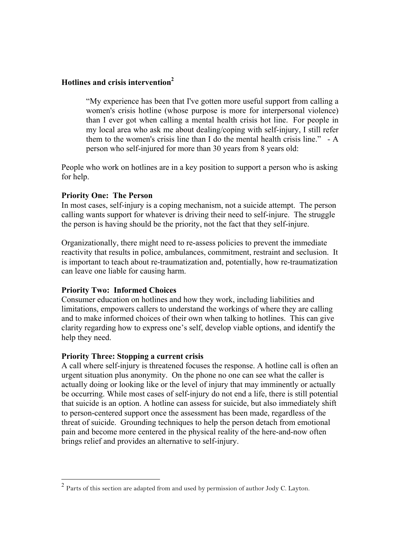## **Hotlines and crisis intervention2**

"My experience has been that I've gotten more useful support from calling a women's crisis hotline (whose purpose is more for interpersonal violence) than I ever got when calling a mental health crisis hot line. For people in my local area who ask me about dealing/coping with self-injury, I still refer them to the women's crisis line than I do the mental health crisis line." - A person who self-injured for more than 30 years from 8 years old:

People who work on hotlines are in a key position to support a person who is asking for help.

### **Priority One: The Person**

In most cases, self-injury is a coping mechanism, not a suicide attempt. The person calling wants support for whatever is driving their need to self-injure. The struggle the person is having should be the priority, not the fact that they self-injure.

Organizationally, there might need to re-assess policies to prevent the immediate reactivity that results in police, ambulances, commitment, restraint and seclusion. It is important to teach about re-traumatization and, potentially, how re-traumatization can leave one liable for causing harm.

## **Priority Two: Informed Choices**

Consumer education on hotlines and how they work, including liabilities and limitations, empowers callers to understand the workings of where they are calling and to make informed choices of their own when talking to hotlines. This can give clarity regarding how to express one's self, develop viable options, and identify the help they need.

### **Priority Three: Stopping a current crisis**

A call where self-injury is threatened focuses the response. A hotline call is often an urgent situation plus anonymity. On the phone no one can see what the caller is actually doing or looking like or the level of injury that may imminently or actually be occurring. While most cases of self-injury do not end a life, there is still potential that suicide is an option. A hotline can assess for suicide, but also immediately shift to person-centered support once the assessment has been made, regardless of the threat of suicide. Grounding techniques to help the person detach from emotional pain and become more centered in the physical reality of the here-and-now often brings relief and provides an alternative to self-injury.

 <sup>2</sup> Parts of this section are adapted from and used by permission of author Jody C. Layton.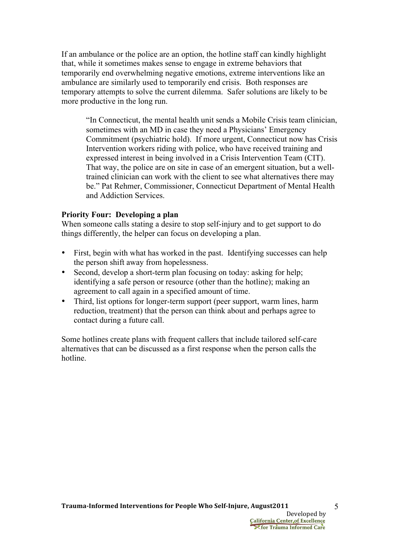If an ambulance or the police are an option, the hotline staff can kindly highlight that, while it sometimes makes sense to engage in extreme behaviors that temporarily end overwhelming negative emotions, extreme interventions like an ambulance are similarly used to temporarily end crisis. Both responses are temporary attempts to solve the current dilemma. Safer solutions are likely to be more productive in the long run.

"In Connecticut, the mental health unit sends a Mobile Crisis team clinician, sometimes with an MD in case they need a Physicians' Emergency Commitment (psychiatric hold). If more urgent, Connecticut now has Crisis Intervention workers riding with police, who have received training and expressed interest in being involved in a Crisis Intervention Team (CIT). That way, the police are on site in case of an emergent situation, but a welltrained clinician can work with the client to see what alternatives there may be." Pat Rehmer, Commissioner, Connecticut Department of Mental Health and Addiction Services.

### **Priority Four: Developing a plan**

When someone calls stating a desire to stop self-injury and to get support to do things differently, the helper can focus on developing a plan.

- First, begin with what has worked in the past. Identifying successes can help the person shift away from hopelessness.
- Second, develop a short-term plan focusing on today: asking for help; identifying a safe person or resource (other than the hotline); making an agreement to call again in a specified amount of time.
- Third, list options for longer-term support (peer support, warm lines, harm reduction, treatment) that the person can think about and perhaps agree to contact during a future call.

Some hotlines create plans with frequent callers that include tailored self-care alternatives that can be discussed as a first response when the person calls the hotline.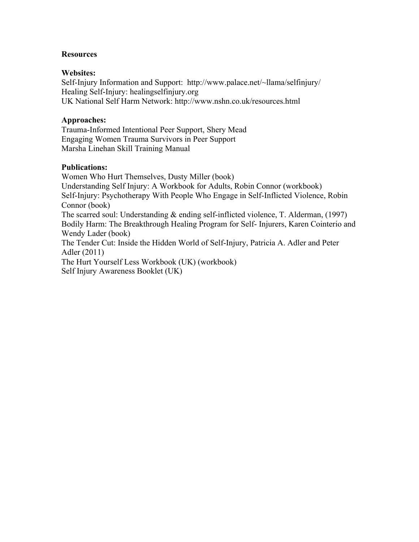### **Resources**

### **Websites:**

Self-Injury Information and Support: http://www.palace.net/~llama/selfinjury/ Healing Self-Injury: healingselfinjury.org UK National Self Harm Network: http://www.nshn.co.uk/resources.html

### **Approaches:**

Trauma-Informed Intentional Peer Support, Shery Mead Engaging Women Trauma Survivors in Peer Support Marsha Linehan Skill Training Manual

### **Publications:**

Women Who Hurt Themselves, Dusty Miller (book) Understanding Self Injury: A Workbook for Adults, Robin Connor (workbook) Self-Injury: Psychotherapy With People Who Engage in Self-Inflicted Violence, Robin Connor (book) The scarred soul: Understanding & ending self-inflicted violence, T. Alderman, (1997) Bodily Harm: The Breakthrough Healing Program for Self- Injurers, Karen Cointerio and Wendy Lader (book) The Tender Cut: Inside the Hidden World of Self-Injury, Patricia A. Adler and Peter Adler (2011) The Hurt Yourself Less Workbook (UK) (workbook) Self Injury Awareness Booklet (UK)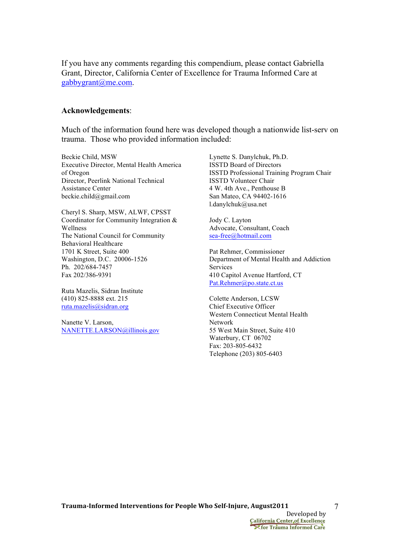If you have any comments regarding this compendium, please contact Gabriella Grant, Director, California Center of Excellence for Trauma Informed Care at gabbygrant@me.com.

#### **Acknowledgements**:

Much of the information found here was developed though a nationwide list-serv on trauma. Those who provided information included:

Beckie Child, MSW Executive Director, Mental Health America of Oregon Director, Peerlink National Technical Assistance Center beckie.child@gmail.com

Cheryl S. Sharp, MSW, ALWF, CPSST Coordinator for Community Integration & Wellness The National Council for Community Behavioral Healthcare 1701 K Street, Suite 400 Washington, D.C. 20006-1526 Ph. 202/684-7457 Fax 202/386-9391

Ruta Mazelis, Sidran Institute (410) 825-8888 ext. 215 ruta.mazelis@sidran.org

Nanette V. Larson, NANETTE.LARSON@illinois.gov Lynette S. Danylchuk, Ph.D. ISSTD Board of Directors ISSTD Professional Training Program Chair ISSTD Volunteer Chair 4 W. 4th Ave., Penthouse B San Mateo, CA 94402-1616 l.danylchuk@usa.net

Jody C. Layton Advocate, Consultant, Coach sea-free@hotmail.com

Pat Rehmer, Commissioner Department of Mental Health and Addiction Services 410 Capitol Avenue Hartford, CT Pat.Rehmer@po.state.ct.us

Colette Anderson, LCSW Chief Executive Officer Western Connecticut Mental Health Network 55 West Main Street, Suite 410 Waterbury, CT 06702 Fax: 203-805-6432 Telephone (203) 805-6403

**Xfor Trauma Informed Care**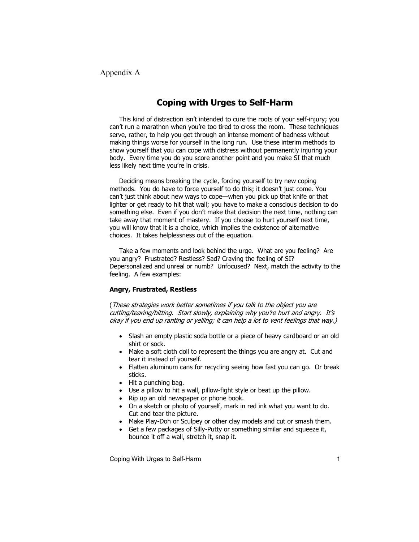Appendix A

## **Coping with Urges to Self-Harm**

This kind of distraction isn't intended to cure the roots of your self-injury; you can't run a marathon when you're too tired to cross the room. These techniques serve, rather, to help you get through an intense moment of badness without making things worse for yourself in the long run. Use these interim methods to show yourself that you can cope with distress without permanently injuring your body. Every time you do you score another point and you make SI that much less likely next time you're in crisis.

Deciding means breaking the cycle, forcing yourself to try new coping methods. You do have to force yourself to do this; it doesn't just come. You can't just think about new ways to cope—when you pick up that knife or that lighter or get ready to hit that wall; you have to make a conscious decision to do something else. Even if you don't make that decision the next time, nothing can take away that moment of mastery. If you choose to hurt yourself next time, you will know that it is a choice, which implies the existence of alternative choices. It takes helplessness out of the equation.

Take a few moments and look behind the urge. What are you feeling? Are you angry? Frustrated? Restless? Sad? Craving the feeling of SI? Depersonalized and unreal or numb? Unfocused? Next, match the activity to the feeling. A few examples:

#### Angry, Frustrated, Restless

(These strategies work better sometimes if you talk to the object you are cutting/tearing/hitting. Start slowly, explaining why you're hurt and angry. It's okay if you end up ranting or yelling; it can help a lot to vent feelings that way.)

- Slash an empty plastic soda bottle or a piece of heavy cardboard or an old shirt or sock.
- Make a soft cloth doll to represent the things you are angry at. Cut and tear it instead of yourself.
- Flatten aluminum cans for recycling seeing how fast you can go. Or break sticks.
- $\bullet$  Hit a punching bag.
- Use a pillow to hit a wall, pillow-fight style or beat up the pillow.
- Rip up an old newspaper or phone book.
- On a sketch or photo of yourself, mark in red ink what you want to do. Cut and tear the picture.
- Make Play-Doh or Sculpey or other clay models and cut or smash them.
- Get a few packages of Silly-Putty or something similar and squeeze it, bounce it off a wall, stretch it, snap it.

Coping With Urges to Self-Harm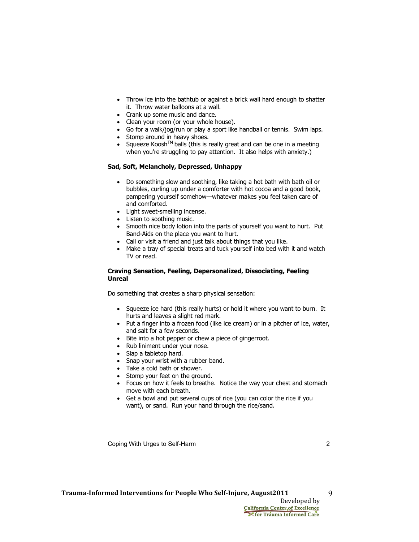- Throw ice into the bathtub or against a brick wall hard enough to shatter it. Throw water balloons at a wall.
- Crank up some music and dance.
- Clean your room (or your whole house).
- Go for a walk/jog/run or play a sport like handball or tennis. Swim laps.
- Stomp around in heavy shoes.
- Squeeze Koosh™ balls (this is really great and can be one in a meeting  $\bullet$ when you're struggling to pay attention. It also helps with anxiety.)

#### Sad, Soft, Melancholy, Depressed, Unhappy

- Do something slow and soothing, like taking a hot bath with bath oil or bubbles, curling up under a comforter with hot cocoa and a good book, pampering yourself somehow-whatever makes you feel taken care of and comforted.
- Light sweet-smelling incense.
- Listen to soothing music.
- Smooth nice body lotion into the parts of yourself you want to hurt. Put Band-Aids on the place you want to hurt.
- Call or visit a friend and just talk about things that you like.
- Make a tray of special treats and tuck yourself into bed with it and watch TV or read.

#### Craving Sensation, Feeling, Depersonalized, Dissociating, Feeling Unreal

Do something that creates a sharp physical sensation:

- Squeeze ice hard (this really hurts) or hold it where you want to burn. It hurts and leaves a slight red mark.
- Put a finger into a frozen food (like ice cream) or in a pitcher of ice, water, and salt for a few seconds.
- Bite into a hot pepper or chew a piece of gingerroot.
- Rub liniment under your nose.
- Slap a tabletop hard.
- Snap your wrist with a rubber band.
- Take a cold bath or shower.
- Stomp your feet on the ground.
- Focus on how it feels to breathe. Notice the way your chest and stomach move with each breath.
- Get a bowl and put several cups of rice (you can color the rice if you want), or sand. Run your hand through the rice/sand.

Coping With Urges to Self-Harm

9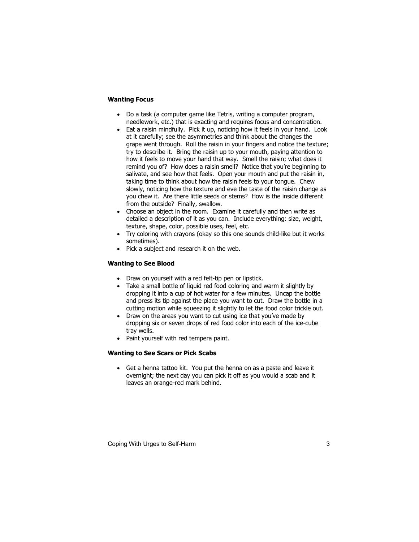#### **Wanting Focus**

- Do a task (a computer game like Tetris, writing a computer program, needlework, etc.) that is exacting and requires focus and concentration.
- Eat a raisin mindfully. Pick it up, noticing how it feels in your hand. Look at it carefully; see the asymmetries and think about the changes the grape went through. Roll the raisin in your fingers and notice the texture; try to describe it. Bring the raisin up to your mouth, paying attention to how it feels to move your hand that way. Smell the raisin; what does it remind you of? How does a raisin smell? Notice that you're beginning to salivate, and see how that feels. Open your mouth and put the raisin in, taking time to think about how the raisin feels to your tongue. Chew slowly, noticing how the texture and eve the taste of the raisin change as you chew it. Are there little seeds or stems? How is the inside different from the outside? Finally, swallow.
- Choose an object in the room. Examine it carefully and then write as detailed a description of it as you can. Include everything: size, weight, texture, shape, color, possible uses, feel, etc.
- Try coloring with crayons (okay so this one sounds child-like but it works sometimes).
- Pick a subject and research it on the web.

#### **Wanting to See Blood**

- Draw on yourself with a red felt-tip pen or lipstick.
- Take a small bottle of liquid red food coloring and warm it slightly by dropping it into a cup of hot water for a few minutes. Uncap the bottle and press its tip against the place you want to cut. Draw the bottle in a cutting motion while squeezing it slightly to let the food color trickle out.
- Draw on the areas you want to cut using ice that you've made by dropping six or seven drops of red food color into each of the ice-cube tray wells.
- Paint yourself with red tempera paint.

#### **Wanting to See Scars or Pick Scabs**

• Get a henna tattoo kit. You put the henna on as a paste and leave it overnight; the next day you can pick it off as you would a scab and it leaves an orange-red mark behind.